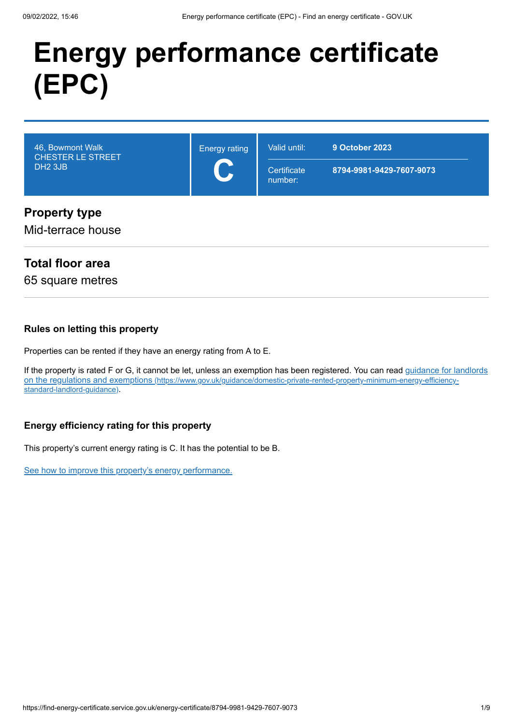# **Energy performance certificate (EPC)**



#### Mid-terrace house

## **Total floor area**

65 square metres

#### **Rules on letting this property**

Properties can be rented if they have an energy rating from A to E.

[If the property is rated F or G, it cannot be let, unless an exemption has been registered. You can read guidance for landlords](https://www.gov.uk/guidance/domestic-private-rented-property-minimum-energy-efficiency-standard-landlord-guidance) on the regulations and exemptions (https://www.gov.uk/guidance/domestic-private-rented-property-minimum-energy-efficiencystandard-landlord-guidance).

#### **Energy efficiency rating for this property**

This property's current energy rating is C. It has the potential to be B.

[See how to improve this property's energy performance.](#page-3-0)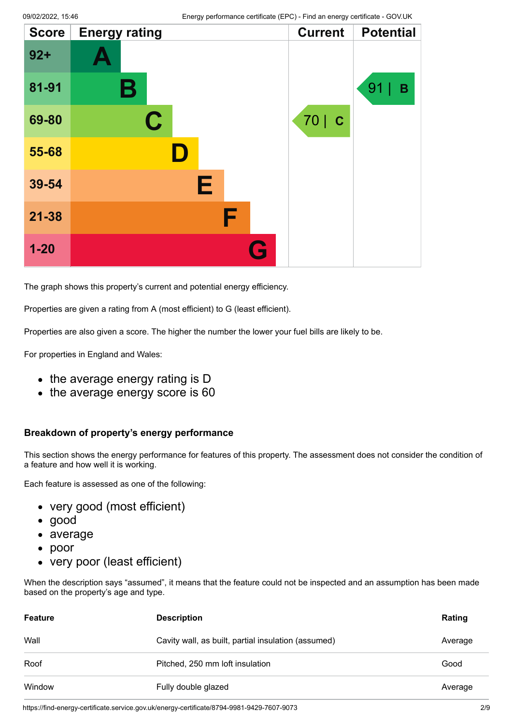| <b>Score</b> | <b>Energy rating</b> |   | <b>Current</b> | <b>Potential</b> |
|--------------|----------------------|---|----------------|------------------|
| $92 +$       |                      |   |                |                  |
| 81-91        | Β                    |   |                | 91<br>B          |
| 69-80        | $\mathbf C$          |   | 70   C         |                  |
| 55-68        | D                    |   |                |                  |
| 39-54        |                      | Е |                |                  |
| $21 - 38$    |                      | F |                |                  |
| $1 - 20$     |                      | G |                |                  |

The graph shows this property's current and potential energy efficiency.

Properties are given a rating from A (most efficient) to G (least efficient).

Properties are also given a score. The higher the number the lower your fuel bills are likely to be.

For properties in England and Wales:

- the average energy rating is D
- the average energy score is 60

#### **Breakdown of property's energy performance**

This section shows the energy performance for features of this property. The assessment does not consider the condition of a feature and how well it is working.

Each feature is assessed as one of the following:

- very good (most efficient)
- good
- average
- poor
- very poor (least efficient)

When the description says "assumed", it means that the feature could not be inspected and an assumption has been made based on the property's age and type.

| <b>Feature</b> | <b>Description</b>                                  | Rating  |
|----------------|-----------------------------------------------------|---------|
| Wall           | Cavity wall, as built, partial insulation (assumed) | Average |
| Roof           | Pitched, 250 mm loft insulation                     | Good    |
| Window         | Fully double glazed                                 | Average |

https://find-energy-certificate.service.gov.uk/energy-certificate/8794-9981-9429-7607-9073 2/9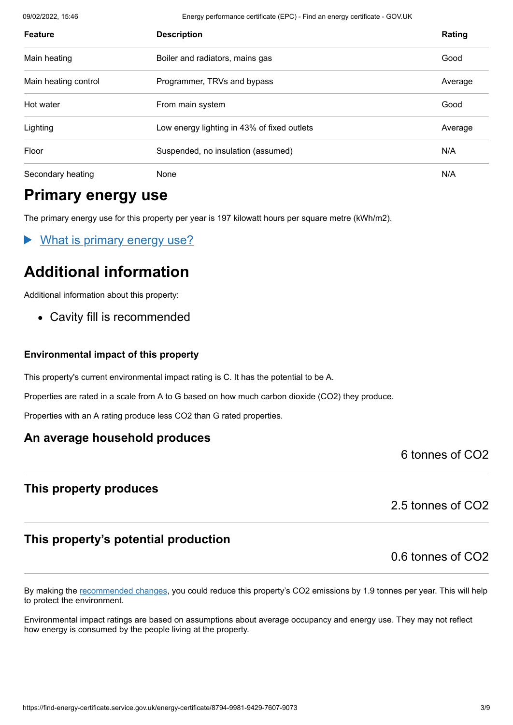09/02/2022, 15:46 Energy performance certificate (EPC) - Find an energy certificate - GOV.UK

| <b>Feature</b>       | <b>Description</b>                          | Rating  |
|----------------------|---------------------------------------------|---------|
| Main heating         | Boiler and radiators, mains gas             | Good    |
| Main heating control | Programmer, TRVs and bypass                 | Average |
| Hot water            | From main system                            | Good    |
| Lighting             | Low energy lighting in 43% of fixed outlets | Average |
| Floor                | Suspended, no insulation (assumed)          | N/A     |
| Secondary heating    | None                                        | N/A     |

# **Primary energy use**

The primary energy use for this property per year is 197 kilowatt hours per square metre (kWh/m2).

What is primary energy use?

# **Additional information**

Additional information about this property:

Cavity fill is recommended

#### **Environmental impact of this property**

This property's current environmental impact rating is C. It has the potential to be A.

Properties are rated in a scale from A to G based on how much carbon dioxide (CO2) they produce.

Properties with an A rating produce less CO2 than G rated properties.

## **An average household produces**

6 tonnes of CO2

## **This property produces**

2.5 tonnes of CO2

## **This property's potential production**

0.6 tonnes of CO2

By making the [recommended changes](#page-3-0), you could reduce this property's CO2 emissions by 1.9 tonnes per year. This will help to protect the environment.

Environmental impact ratings are based on assumptions about average occupancy and energy use. They may not reflect how energy is consumed by the people living at the property.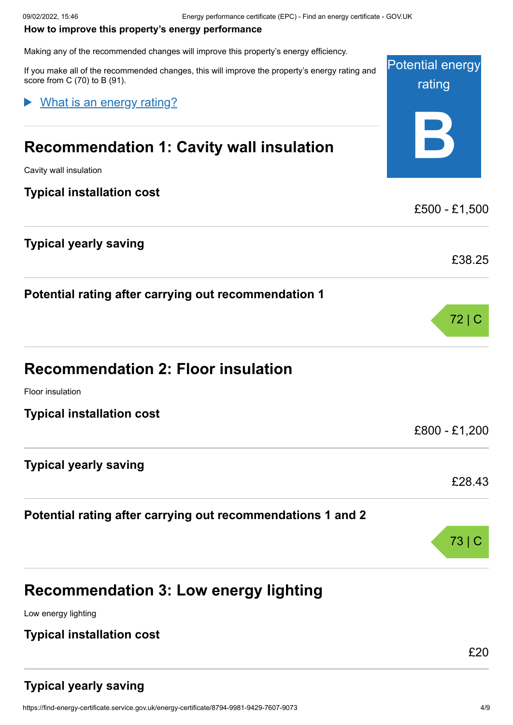#### <span id="page-3-0"></span>**How to improve this property's energy performance**

Making any of the recommended changes will improve this property's energy efficiency.

Potential energy rating **B** If you make all of the recommended changes, this will improve the property's energy rating and score from C (70) to B (91). **Recommendation 1: Cavity wall insulation** Cavity wall insulation **Typical installation cost** £500 - £1,500 **Typical yearly saving** £38.25 **Potential rating after carrying out recommendation 1** 72 | C **Recommendation 2: Floor insulation** Floor insulation **Typical installation cost** £800 - £1,200 **Typical yearly saving** £28.43 **Potential rating after carrying out recommendations 1 and 2** 73 | C **Recommendation 3: Low energy lighting** What is an energy rating?

Low energy lighting

#### **Typical installation cost**

£20

# **Typical yearly saving**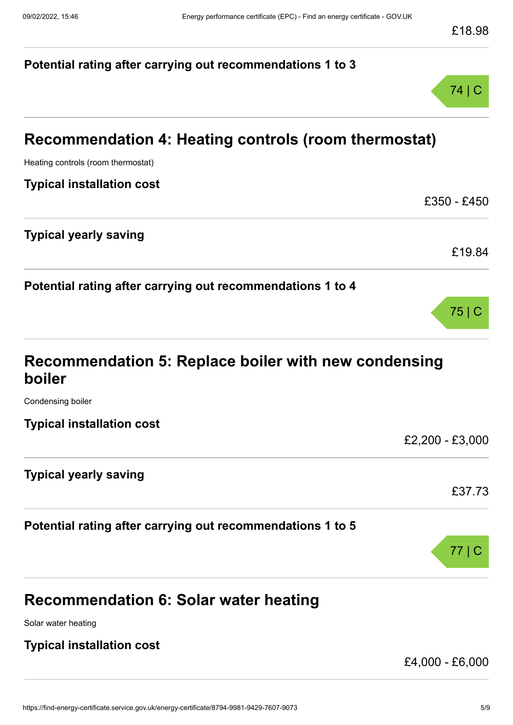# 09/02/2022, 15:46 Energy performance certificate (EPC) - Find an energy certificate - GOV.UK **Potential rating after carrying out recommendations 1 to 3** 74 | C **Recommendation 4: Heating controls (room thermostat)** Heating controls (room thermostat) **Typical installation cost** £350 - £450 **Typical yearly saving** £19.84 **Potential rating after carrying out recommendations 1 to 4** 75 | C **Recommendation 5: Replace boiler with new condensing boiler** Condensing boiler **Typical installation cost** £2,200 - £3,000 **Typical yearly saving** £37.73

**Potential rating after carrying out recommendations 1 to 5**

# **Recommendation 6: Solar water heating**

Solar water heating

# **Typical installation cost**

£4,000 - £6,000

77 | C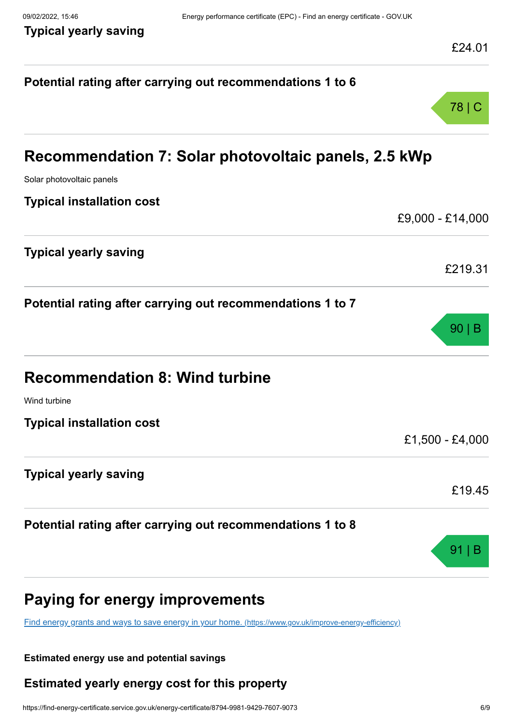| Potential rating after carrying out recommendations 1 to 6                                              |                  |
|---------------------------------------------------------------------------------------------------------|------------------|
|                                                                                                         | 78   C           |
| Recommendation 7: Solar photovoltaic panels, 2.5 kWp                                                    |                  |
| Solar photovoltaic panels                                                                               |                  |
| <b>Typical installation cost</b>                                                                        |                  |
|                                                                                                         | £9,000 - £14,000 |
| <b>Typical yearly saving</b>                                                                            |                  |
|                                                                                                         | £219.31          |
| Potential rating after carrying out recommendations 1 to 7                                              |                  |
|                                                                                                         | $90 \mid B$      |
| <b>Recommendation 8: Wind turbine</b>                                                                   |                  |
| Wind turbine                                                                                            |                  |
| <b>Typical installation cost</b>                                                                        |                  |
|                                                                                                         | £1,500 - £4,000  |
| <b>Typical yearly saving</b>                                                                            |                  |
|                                                                                                         | £19.45           |
| Potential rating after carrying out recommendations 1 to 8                                              |                  |
|                                                                                                         | 91               |
| <b>Paying for energy improvements</b>                                                                   |                  |
| Find energy grants and ways to save energy in your home. (https://www.gov.uk/improve-energy-efficiency) |                  |
|                                                                                                         |                  |

#### **Estimated energy use and potential savings**

# **Estimated yearly energy cost for this property**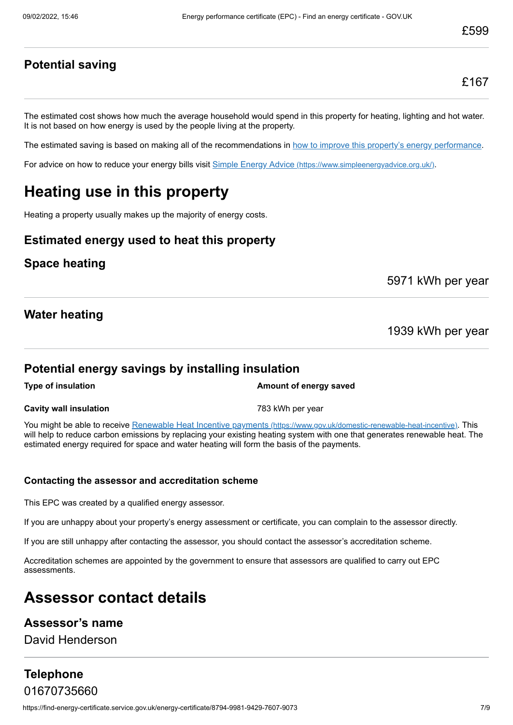## **Potential saving**

The estimated cost shows how much the average household would spend in this property for heating, lighting and hot water. It is not based on how energy is used by the people living at the property.

The estimated saving is based on making all of the recommendations in [how to improve this property's energy performance.](#page-3-0)

For advice on how to reduce your energy bills visit Simple Energy Advice [\(https://www.simpleenergyadvice.org.uk/\)](https://www.simpleenergyadvice.org.uk/).

# **Heating use in this property**

Heating a property usually makes up the majority of energy costs.

## **Estimated energy used to heat this property**

#### **Space heating**

5971 kWh per year

## **Water heating**

1939 kWh per year

#### **Potential energy savings by installing insulation**

**Type of insulation Amount of energy saved** 

**Cavity wall insulation Cavity wall insulation Cavity Wall insulation** 

You might be able to receive Renewable Heat Incentive payments [\(https://www.gov.uk/domestic-renewable-heat-incentive\)](https://www.gov.uk/domestic-renewable-heat-incentive). This will help to reduce carbon emissions by replacing your existing heating system with one that generates renewable heat. The estimated energy required for space and water heating will form the basis of the payments.

#### **Contacting the assessor and accreditation scheme**

This EPC was created by a qualified energy assessor.

If you are unhappy about your property's energy assessment or certificate, you can complain to the assessor directly.

If you are still unhappy after contacting the assessor, you should contact the assessor's accreditation scheme.

Accreditation schemes are appointed by the government to ensure that assessors are qualified to carry out EPC assessments.

# **Assessor contact details**

## **Assessor's name**

David Henderson

## **Telephone** 01670735660